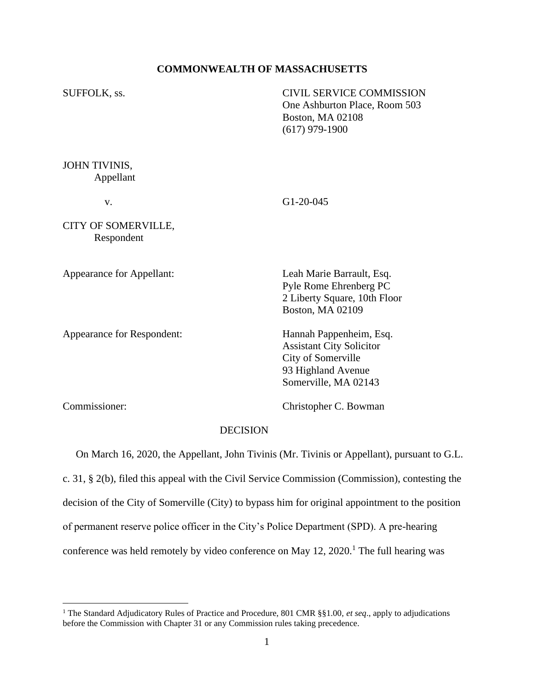# **COMMONWEALTH OF MASSACHUSETTS**

| SUFFOLK, ss.                      |                 | <b>CIVIL SERVICE COMMISSION</b><br>One Ashburton Place, Room 503<br>Boston, MA 02108<br>$(617)$ 979-1900                       |
|-----------------------------------|-----------------|--------------------------------------------------------------------------------------------------------------------------------|
| JOHN TIVINIS,<br>Appellant        |                 |                                                                                                                                |
| V.                                |                 | $G1-20-045$                                                                                                                    |
| CITY OF SOMERVILLE,<br>Respondent |                 |                                                                                                                                |
| Appearance for Appellant:         |                 | Leah Marie Barrault, Esq.<br>Pyle Rome Ehrenberg PC<br>2 Liberty Square, 10th Floor<br>Boston, MA 02109                        |
| Appearance for Respondent:        |                 | Hannah Pappenheim, Esq.<br><b>Assistant City Solicitor</b><br>City of Somerville<br>93 Highland Avenue<br>Somerville, MA 02143 |
| Commissioner:                     |                 | Christopher C. Bowman                                                                                                          |
|                                   | <b>DECISION</b> |                                                                                                                                |

 On March 16, 2020, the Appellant, John Tivinis (Mr. Tivinis or Appellant), pursuant to G.L. c. 31, § 2(b), filed this appeal with the Civil Service Commission (Commission), contesting the decision of the City of Somerville (City) to bypass him for original appointment to the position of permanent reserve police officer in the City's Police Department (SPD). A pre-hearing conference was held remotely by video conference on May  $12$ ,  $2020$ .<sup>1</sup> The full hearing was

<sup>1</sup> The Standard Adjudicatory Rules of Practice and Procedure, 801 CMR §§1.00, *et seq*., apply to adjudications before the Commission with Chapter 31 or any Commission rules taking precedence.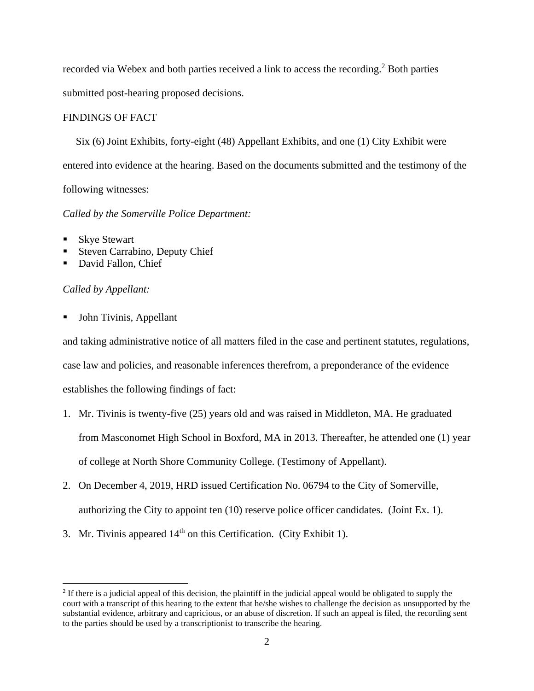recorded via Webex and both parties received a link to access the recording.<sup>2</sup> Both parties submitted post-hearing proposed decisions.

## FINDINGS OF FACT

 Six (6) Joint Exhibits, forty-eight (48) Appellant Exhibits, and one (1) City Exhibit were entered into evidence at the hearing. Based on the documents submitted and the testimony of the following witnesses:

## *Called by the Somerville Police Department:*

- **Skye Stewart**
- Steven Carrabino, Deputy Chief
- David Fallon, Chief

## *Called by Appellant:*

John Tivinis, Appellant

and taking administrative notice of all matters filed in the case and pertinent statutes, regulations, case law and policies, and reasonable inferences therefrom, a preponderance of the evidence establishes the following findings of fact:

- 1. Mr. Tivinis is twenty-five (25) years old and was raised in Middleton, MA. He graduated from Masconomet High School in Boxford, MA in 2013. Thereafter, he attended one (1) year of college at North Shore Community College. (Testimony of Appellant).
- 2. On December 4, 2019, HRD issued Certification No. 06794 to the City of Somerville, authorizing the City to appoint ten (10) reserve police officer candidates. (Joint Ex. 1).
- 3. Mr. Tivinis appeared  $14<sup>th</sup>$  on this Certification. (City Exhibit 1).

<sup>&</sup>lt;sup>2</sup> If there is a judicial appeal of this decision, the plaintiff in the judicial appeal would be obligated to supply the court with a transcript of this hearing to the extent that he/she wishes to challenge the decision as unsupported by the substantial evidence, arbitrary and capricious, or an abuse of discretion. If such an appeal is filed, the recording sent to the parties should be used by a transcriptionist to transcribe the hearing.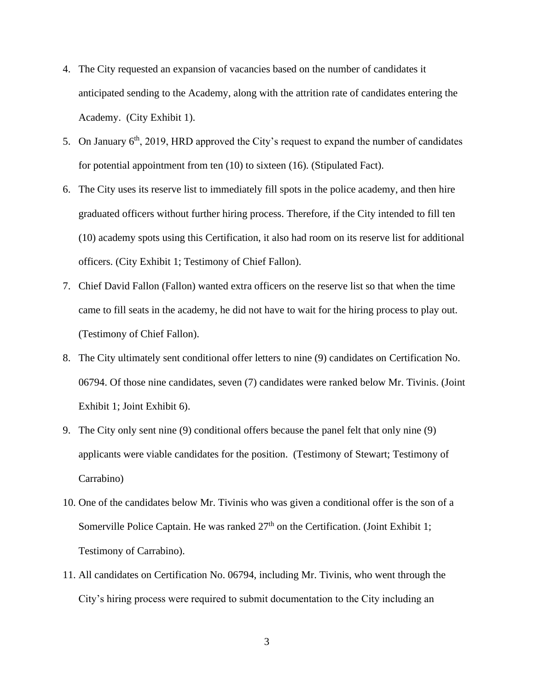- 4. The City requested an expansion of vacancies based on the number of candidates it anticipated sending to the Academy, along with the attrition rate of candidates entering the Academy. (City Exhibit 1).
- 5. On January  $6<sup>th</sup>$ , 2019, HRD approved the City's request to expand the number of candidates for potential appointment from ten (10) to sixteen (16). (Stipulated Fact).
- 6. The City uses its reserve list to immediately fill spots in the police academy, and then hire graduated officers without further hiring process. Therefore, if the City intended to fill ten (10) academy spots using this Certification, it also had room on its reserve list for additional officers. (City Exhibit 1; Testimony of Chief Fallon).
- 7. Chief David Fallon (Fallon) wanted extra officers on the reserve list so that when the time came to fill seats in the academy, he did not have to wait for the hiring process to play out. (Testimony of Chief Fallon).
- 8. The City ultimately sent conditional offer letters to nine (9) candidates on Certification No. 06794. Of those nine candidates, seven (7) candidates were ranked below Mr. Tivinis. (Joint Exhibit 1; Joint Exhibit 6).
- 9. The City only sent nine (9) conditional offers because the panel felt that only nine (9) applicants were viable candidates for the position. (Testimony of Stewart; Testimony of Carrabino)
- 10. One of the candidates below Mr. Tivinis who was given a conditional offer is the son of a Somerville Police Captain. He was ranked  $27<sup>th</sup>$  on the Certification. (Joint Exhibit 1; Testimony of Carrabino).
- 11. All candidates on Certification No. 06794, including Mr. Tivinis, who went through the City's hiring process were required to submit documentation to the City including an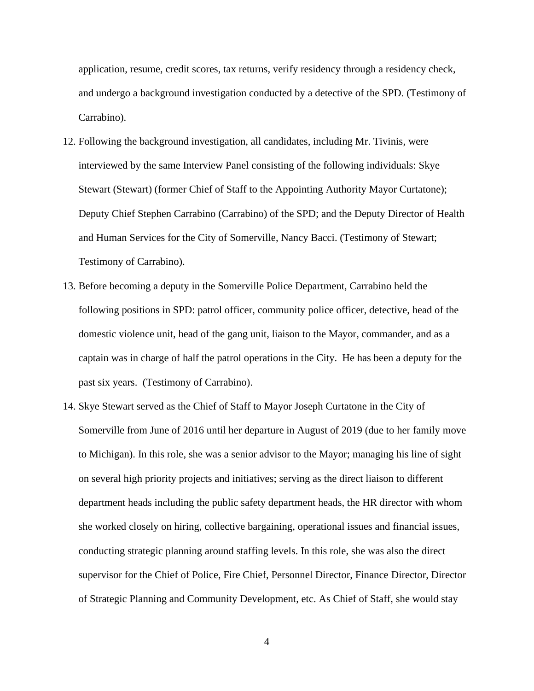application, resume, credit scores, tax returns, verify residency through a residency check, and undergo a background investigation conducted by a detective of the SPD. (Testimony of Carrabino).

- 12. Following the background investigation, all candidates, including Mr. Tivinis, were interviewed by the same Interview Panel consisting of the following individuals: Skye Stewart (Stewart) (former Chief of Staff to the Appointing Authority Mayor Curtatone); Deputy Chief Stephen Carrabino (Carrabino) of the SPD; and the Deputy Director of Health and Human Services for the City of Somerville, Nancy Bacci. (Testimony of Stewart; Testimony of Carrabino).
- 13. Before becoming a deputy in the Somerville Police Department, Carrabino held the following positions in SPD: patrol officer, community police officer, detective, head of the domestic violence unit, head of the gang unit, liaison to the Mayor, commander, and as a captain was in charge of half the patrol operations in the City. He has been a deputy for the past six years. (Testimony of Carrabino).
- 14. Skye Stewart served as the Chief of Staff to Mayor Joseph Curtatone in the City of Somerville from June of 2016 until her departure in August of 2019 (due to her family move to Michigan). In this role, she was a senior advisor to the Mayor; managing his line of sight on several high priority projects and initiatives; serving as the direct liaison to different department heads including the public safety department heads, the HR director with whom she worked closely on hiring, collective bargaining, operational issues and financial issues, conducting strategic planning around staffing levels. In this role, she was also the direct supervisor for the Chief of Police, Fire Chief, Personnel Director, Finance Director, Director of Strategic Planning and Community Development, etc. As Chief of Staff, she would stay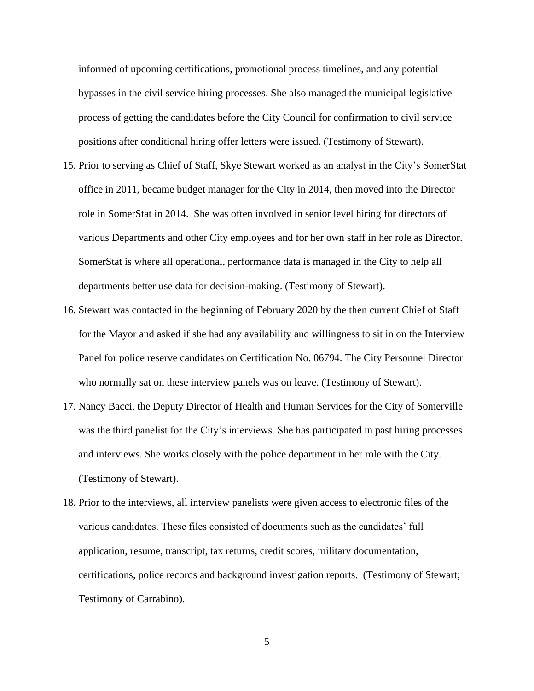informed of upcoming certifications, promotional process timelines, and any potential bypasses in the civil service hiring processes. She also managed the municipal legislative process of getting the candidates before the City Council for confirmation to civil service positions after conditional hiring offer letters were issued. (Testimony of Stewart).

- 15. Prior to serving as Chief of Staff, Skye Stewart worked as an analyst in the City's SomerStat office in 2011, became budget manager for the City in 2014, then moved into the Director role in SomerStat in 2014. She was often involved in senior level hiring for directors of various Departments and other City employees and for her own staff in her role as Director. SomerStat is where all operational, performance data is managed in the City to help all departments better use data for decision-making. (Testimony of Stewart).
- 16. Stewart was contacted in the beginning of February 2020 by the then current Chief of Staff for the Mayor and asked if she had any availability and willingness to sit in on the Interview Panel for police reserve candidates on Certification No. 06794. The City Personnel Director who normally sat on these interview panels was on leave. (Testimony of Stewart).
- 17. Nancy Bacci, the Deputy Director of Health and Human Services for the City of Somerville was the third panelist for the City's interviews. She has participated in past hiring processes and interviews. She works closely with the police department in her role with the City. (Testimony of Stewart).
- 18. Prior to the interviews, all interview panelists were given access to electronic files of the various candidates. These files consisted of documents such as the candidates' full application, resume, transcript, tax returns, credit scores, military documentation, certifications, police records and background investigation reports. (Testimony of Stewart; Testimony of Carrabino).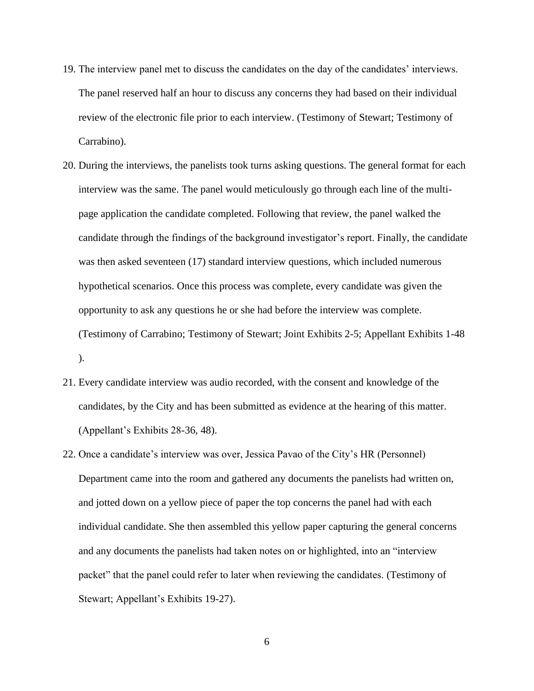- 19. The interview panel met to discuss the candidates on the day of the candidates' interviews. The panel reserved half an hour to discuss any concerns they had based on their individual review of the electronic file prior to each interview. (Testimony of Stewart; Testimony of Carrabino).
- 20. During the interviews, the panelists took turns asking questions. The general format for each interview was the same. The panel would meticulously go through each line of the multipage application the candidate completed. Following that review, the panel walked the candidate through the findings of the background investigator's report. Finally, the candidate was then asked seventeen (17) standard interview questions, which included numerous hypothetical scenarios. Once this process was complete, every candidate was given the opportunity to ask any questions he or she had before the interview was complete. (Testimony of Carrabino; Testimony of Stewart; Joint Exhibits 2-5; Appellant Exhibits 1-48 ).
- 21. Every candidate interview was audio recorded, with the consent and knowledge of the candidates, by the City and has been submitted as evidence at the hearing of this matter. (Appellant's Exhibits 28-36, 48).
- 22. Once a candidate's interview was over, Jessica Pavao of the City's HR (Personnel) Department came into the room and gathered any documents the panelists had written on, and jotted down on a yellow piece of paper the top concerns the panel had with each individual candidate. She then assembled this yellow paper capturing the general concerns and any documents the panelists had taken notes on or highlighted, into an "interview packet" that the panel could refer to later when reviewing the candidates. (Testimony of Stewart; Appellant's Exhibits 19-27).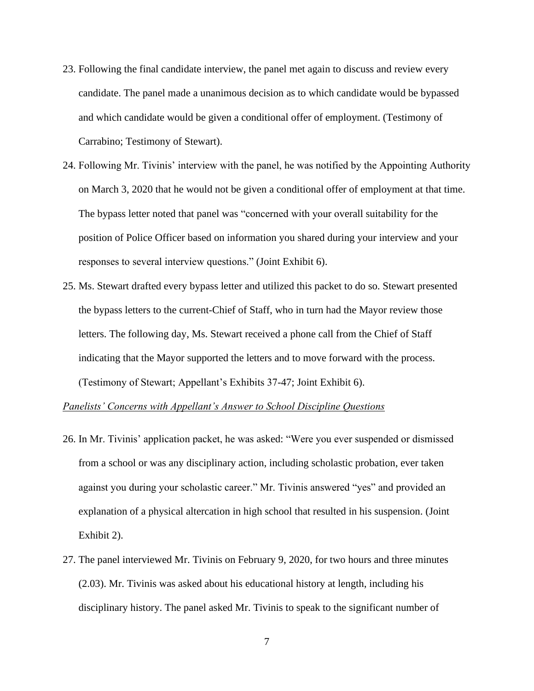- 23. Following the final candidate interview, the panel met again to discuss and review every candidate. The panel made a unanimous decision as to which candidate would be bypassed and which candidate would be given a conditional offer of employment. (Testimony of Carrabino; Testimony of Stewart).
- 24. Following Mr. Tivinis' interview with the panel, he was notified by the Appointing Authority on March 3, 2020 that he would not be given a conditional offer of employment at that time. The bypass letter noted that panel was "concerned with your overall suitability for the position of Police Officer based on information you shared during your interview and your responses to several interview questions." (Joint Exhibit 6).
- 25. Ms. Stewart drafted every bypass letter and utilized this packet to do so. Stewart presented the bypass letters to the current-Chief of Staff, who in turn had the Mayor review those letters. The following day, Ms. Stewart received a phone call from the Chief of Staff indicating that the Mayor supported the letters and to move forward with the process. (Testimony of Stewart; Appellant's Exhibits 37-47; Joint Exhibit 6).

## *Panelists' Concerns with Appellant's Answer to School Discipline Questions*

- 26. In Mr. Tivinis' application packet, he was asked: "Were you ever suspended or dismissed from a school or was any disciplinary action, including scholastic probation, ever taken against you during your scholastic career." Mr. Tivinis answered "yes" and provided an explanation of a physical altercation in high school that resulted in his suspension. (Joint Exhibit 2).
- 27. The panel interviewed Mr. Tivinis on February 9, 2020, for two hours and three minutes (2.03). Mr. Tivinis was asked about his educational history at length, including his disciplinary history. The panel asked Mr. Tivinis to speak to the significant number of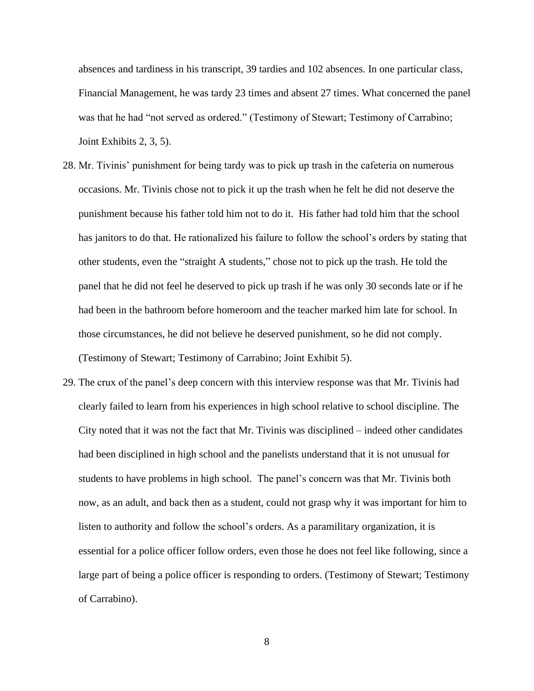absences and tardiness in his transcript, 39 tardies and 102 absences. In one particular class, Financial Management, he was tardy 23 times and absent 27 times. What concerned the panel was that he had "not served as ordered." (Testimony of Stewart; Testimony of Carrabino; Joint Exhibits 2, 3, 5).

- 28. Mr. Tivinis' punishment for being tardy was to pick up trash in the cafeteria on numerous occasions. Mr. Tivinis chose not to pick it up the trash when he felt he did not deserve the punishment because his father told him not to do it. His father had told him that the school has janitors to do that. He rationalized his failure to follow the school's orders by stating that other students, even the "straight A students," chose not to pick up the trash. He told the panel that he did not feel he deserved to pick up trash if he was only 30 seconds late or if he had been in the bathroom before homeroom and the teacher marked him late for school. In those circumstances, he did not believe he deserved punishment, so he did not comply. (Testimony of Stewart; Testimony of Carrabino; Joint Exhibit 5).
- 29. The crux of the panel's deep concern with this interview response was that Mr. Tivinis had clearly failed to learn from his experiences in high school relative to school discipline. The City noted that it was not the fact that Mr. Tivinis was disciplined – indeed other candidates had been disciplined in high school and the panelists understand that it is not unusual for students to have problems in high school. The panel's concern was that Mr. Tivinis both now, as an adult, and back then as a student, could not grasp why it was important for him to listen to authority and follow the school's orders. As a paramilitary organization, it is essential for a police officer follow orders, even those he does not feel like following, since a large part of being a police officer is responding to orders. (Testimony of Stewart; Testimony of Carrabino).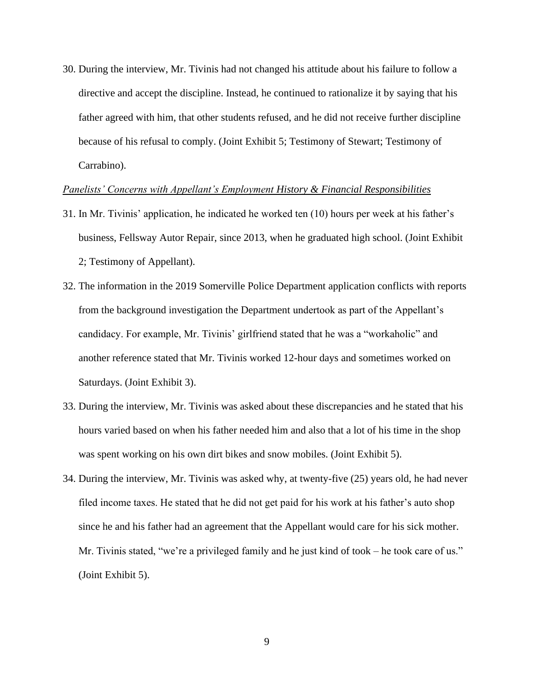30. During the interview, Mr. Tivinis had not changed his attitude about his failure to follow a directive and accept the discipline. Instead, he continued to rationalize it by saying that his father agreed with him, that other students refused, and he did not receive further discipline because of his refusal to comply. (Joint Exhibit 5; Testimony of Stewart; Testimony of Carrabino).

#### *Panelists' Concerns with Appellant's Employment History & Financial Responsibilities*

- 31. In Mr. Tivinis' application, he indicated he worked ten (10) hours per week at his father's business, Fellsway Autor Repair, since 2013, when he graduated high school. (Joint Exhibit 2; Testimony of Appellant).
- 32. The information in the 2019 Somerville Police Department application conflicts with reports from the background investigation the Department undertook as part of the Appellant's candidacy. For example, Mr. Tivinis' girlfriend stated that he was a "workaholic" and another reference stated that Mr. Tivinis worked 12-hour days and sometimes worked on Saturdays. (Joint Exhibit 3).
- 33. During the interview, Mr. Tivinis was asked about these discrepancies and he stated that his hours varied based on when his father needed him and also that a lot of his time in the shop was spent working on his own dirt bikes and snow mobiles. (Joint Exhibit 5).
- 34. During the interview, Mr. Tivinis was asked why, at twenty-five (25) years old, he had never filed income taxes. He stated that he did not get paid for his work at his father's auto shop since he and his father had an agreement that the Appellant would care for his sick mother. Mr. Tivinis stated, "we're a privileged family and he just kind of took – he took care of us." (Joint Exhibit 5).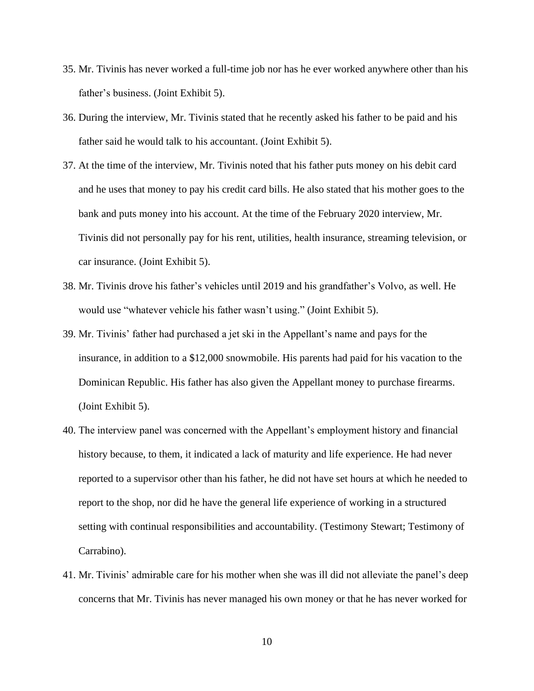- 35. Mr. Tivinis has never worked a full-time job nor has he ever worked anywhere other than his father's business. (Joint Exhibit 5).
- 36. During the interview, Mr. Tivinis stated that he recently asked his father to be paid and his father said he would talk to his accountant. (Joint Exhibit 5).
- 37. At the time of the interview, Mr. Tivinis noted that his father puts money on his debit card and he uses that money to pay his credit card bills. He also stated that his mother goes to the bank and puts money into his account. At the time of the February 2020 interview, Mr. Tivinis did not personally pay for his rent, utilities, health insurance, streaming television, or car insurance. (Joint Exhibit 5).
- 38. Mr. Tivinis drove his father's vehicles until 2019 and his grandfather's Volvo, as well. He would use "whatever vehicle his father wasn't using." (Joint Exhibit 5).
- 39. Mr. Tivinis' father had purchased a jet ski in the Appellant's name and pays for the insurance, in addition to a \$12,000 snowmobile. His parents had paid for his vacation to the Dominican Republic. His father has also given the Appellant money to purchase firearms. (Joint Exhibit 5).
- 40. The interview panel was concerned with the Appellant's employment history and financial history because, to them, it indicated a lack of maturity and life experience. He had never reported to a supervisor other than his father, he did not have set hours at which he needed to report to the shop, nor did he have the general life experience of working in a structured setting with continual responsibilities and accountability. (Testimony Stewart; Testimony of Carrabino).
- 41. Mr. Tivinis' admirable care for his mother when she was ill did not alleviate the panel's deep concerns that Mr. Tivinis has never managed his own money or that he has never worked for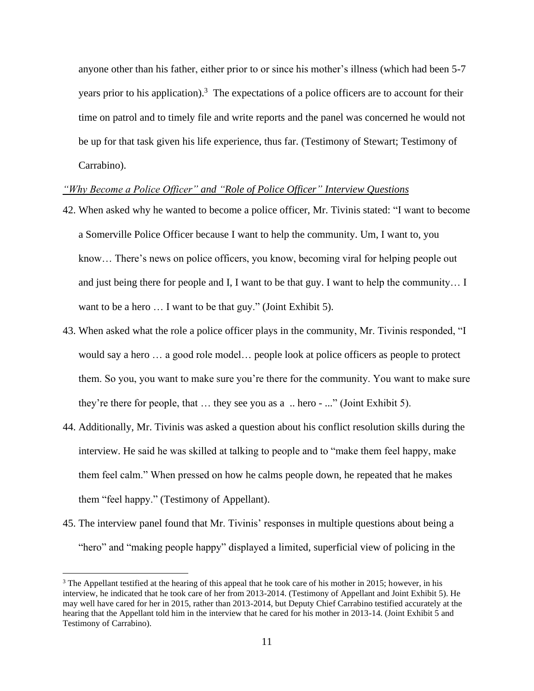anyone other than his father, either prior to or since his mother's illness (which had been 5-7 years prior to his application).<sup>3</sup> The expectations of a police officers are to account for their time on patrol and to timely file and write reports and the panel was concerned he would not be up for that task given his life experience, thus far. (Testimony of Stewart; Testimony of Carrabino).

## *"Why Become a Police Officer" and "Role of Police Officer" Interview Questions*

- 42. When asked why he wanted to become a police officer, Mr. Tivinis stated: "I want to become a Somerville Police Officer because I want to help the community. Um, I want to, you know… There's news on police officers, you know, becoming viral for helping people out and just being there for people and I, I want to be that guy. I want to help the community… I want to be a hero ... I want to be that guy." (Joint Exhibit 5).
- 43. When asked what the role a police officer plays in the community, Mr. Tivinis responded, "I would say a hero … a good role model… people look at police officers as people to protect them. So you, you want to make sure you're there for the community. You want to make sure they're there for people, that … they see you as a .. hero - ..." (Joint Exhibit 5).
- 44. Additionally, Mr. Tivinis was asked a question about his conflict resolution skills during the interview. He said he was skilled at talking to people and to "make them feel happy, make them feel calm." When pressed on how he calms people down, he repeated that he makes them "feel happy." (Testimony of Appellant).
- 45. The interview panel found that Mr. Tivinis' responses in multiple questions about being a "hero" and "making people happy" displayed a limited, superficial view of policing in the

 $3$  The Appellant testified at the hearing of this appeal that he took care of his mother in 2015; however, in his interview, he indicated that he took care of her from 2013-2014. (Testimony of Appellant and Joint Exhibit 5). He may well have cared for her in 2015, rather than 2013-2014, but Deputy Chief Carrabino testified accurately at the hearing that the Appellant told him in the interview that he cared for his mother in 2013-14. (Joint Exhibit 5 and Testimony of Carrabino).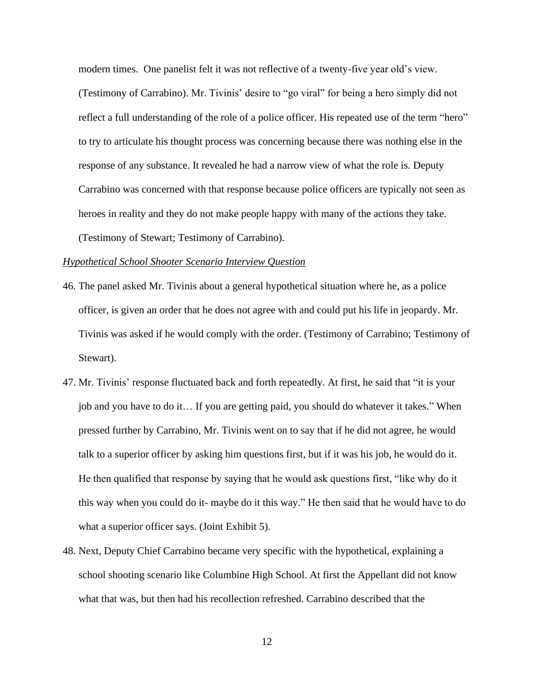modern times. One panelist felt it was not reflective of a twenty-five year old's view. (Testimony of Carrabino). Mr. Tivinis' desire to "go viral" for being a hero simply did not reflect a full understanding of the role of a police officer. His repeated use of the term "hero" to try to articulate his thought process was concerning because there was nothing else in the response of any substance. It revealed he had a narrow view of what the role is. Deputy Carrabino was concerned with that response because police officers are typically not seen as heroes in reality and they do not make people happy with many of the actions they take. (Testimony of Stewart; Testimony of Carrabino).

#### *Hypothetical School Shooter Scenario Interview Question*

- 46. The panel asked Mr. Tivinis about a general hypothetical situation where he, as a police officer, is given an order that he does not agree with and could put his life in jeopardy. Mr. Tivinis was asked if he would comply with the order. (Testimony of Carrabino; Testimony of Stewart).
- 47. Mr. Tivinis' response fluctuated back and forth repeatedly. At first, he said that "it is your job and you have to do it… If you are getting paid, you should do whatever it takes." When pressed further by Carrabino, Mr. Tivinis went on to say that if he did not agree, he would talk to a superior officer by asking him questions first, but if it was his job, he would do it. He then qualified that response by saying that he would ask questions first, "like why do it this way when you could do it- maybe do it this way." He then said that he would have to do what a superior officer says. (Joint Exhibit 5).
- 48. Next, Deputy Chief Carrabino became very specific with the hypothetical, explaining a school shooting scenario like Columbine High School. At first the Appellant did not know what that was, but then had his recollection refreshed. Carrabino described that the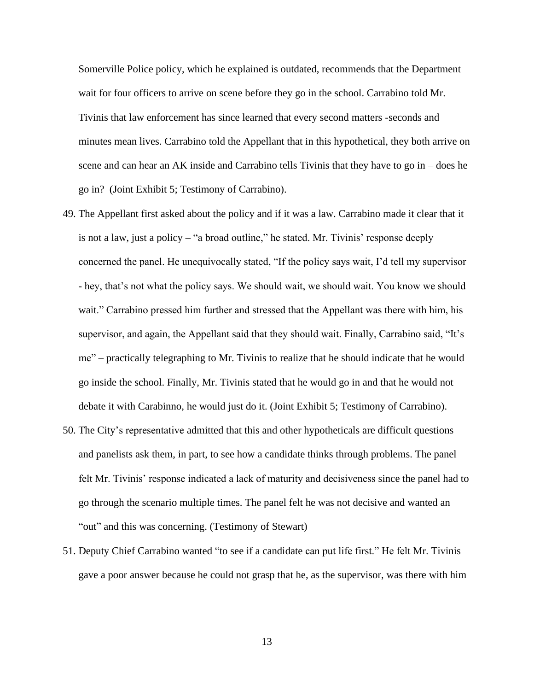Somerville Police policy, which he explained is outdated, recommends that the Department wait for four officers to arrive on scene before they go in the school. Carrabino told Mr. Tivinis that law enforcement has since learned that every second matters -seconds and minutes mean lives. Carrabino told the Appellant that in this hypothetical, they both arrive on scene and can hear an AK inside and Carrabino tells Tivinis that they have to go in  $-$  does he go in? (Joint Exhibit 5; Testimony of Carrabino).

- 49. The Appellant first asked about the policy and if it was a law. Carrabino made it clear that it is not a law, just a policy – "a broad outline," he stated. Mr. Tivinis' response deeply concerned the panel. He unequivocally stated, "If the policy says wait, I'd tell my supervisor - hey, that's not what the policy says. We should wait, we should wait. You know we should wait." Carrabino pressed him further and stressed that the Appellant was there with him, his supervisor, and again, the Appellant said that they should wait. Finally, Carrabino said, "It's me" – practically telegraphing to Mr. Tivinis to realize that he should indicate that he would go inside the school. Finally, Mr. Tivinis stated that he would go in and that he would not debate it with Carabinno, he would just do it. (Joint Exhibit 5; Testimony of Carrabino).
- 50. The City's representative admitted that this and other hypotheticals are difficult questions and panelists ask them, in part, to see how a candidate thinks through problems. The panel felt Mr. Tivinis' response indicated a lack of maturity and decisiveness since the panel had to go through the scenario multiple times. The panel felt he was not decisive and wanted an "out" and this was concerning. (Testimony of Stewart)
- 51. Deputy Chief Carrabino wanted "to see if a candidate can put life first." He felt Mr. Tivinis gave a poor answer because he could not grasp that he, as the supervisor, was there with him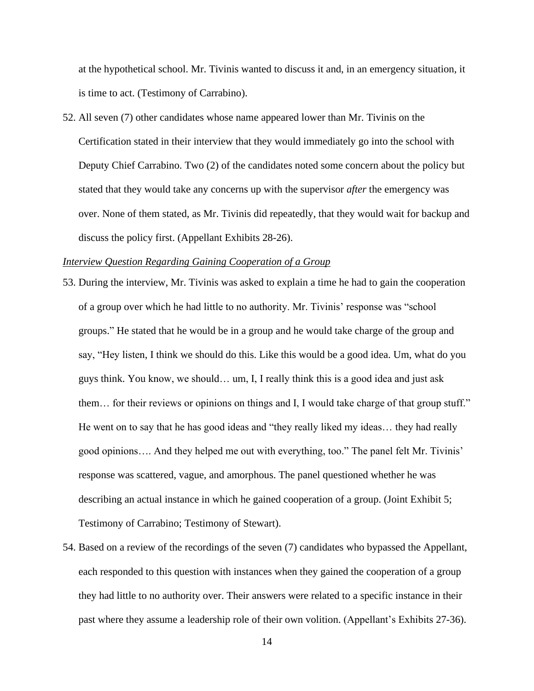at the hypothetical school. Mr. Tivinis wanted to discuss it and, in an emergency situation, it is time to act. (Testimony of Carrabino).

52. All seven (7) other candidates whose name appeared lower than Mr. Tivinis on the Certification stated in their interview that they would immediately go into the school with Deputy Chief Carrabino. Two (2) of the candidates noted some concern about the policy but stated that they would take any concerns up with the supervisor *after* the emergency was over. None of them stated, as Mr. Tivinis did repeatedly, that they would wait for backup and discuss the policy first. (Appellant Exhibits 28-26).

### *Interview Question Regarding Gaining Cooperation of a Group*

- 53. During the interview, Mr. Tivinis was asked to explain a time he had to gain the cooperation of a group over which he had little to no authority. Mr. Tivinis' response was "school groups." He stated that he would be in a group and he would take charge of the group and say, "Hey listen, I think we should do this. Like this would be a good idea. Um, what do you guys think. You know, we should… um, I, I really think this is a good idea and just ask them… for their reviews or opinions on things and I, I would take charge of that group stuff." He went on to say that he has good ideas and "they really liked my ideas… they had really good opinions…. And they helped me out with everything, too." The panel felt Mr. Tivinis' response was scattered, vague, and amorphous. The panel questioned whether he was describing an actual instance in which he gained cooperation of a group. (Joint Exhibit 5; Testimony of Carrabino; Testimony of Stewart).
- 54. Based on a review of the recordings of the seven (7) candidates who bypassed the Appellant, each responded to this question with instances when they gained the cooperation of a group they had little to no authority over. Their answers were related to a specific instance in their past where they assume a leadership role of their own volition. (Appellant's Exhibits 27-36).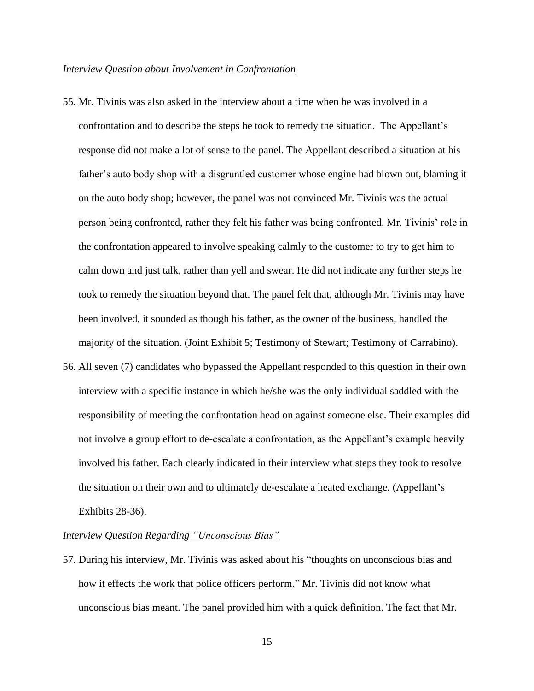#### *Interview Question about Involvement in Confrontation*

- 55. Mr. Tivinis was also asked in the interview about a time when he was involved in a confrontation and to describe the steps he took to remedy the situation. The Appellant's response did not make a lot of sense to the panel. The Appellant described a situation at his father's auto body shop with a disgruntled customer whose engine had blown out, blaming it on the auto body shop; however, the panel was not convinced Mr. Tivinis was the actual person being confronted, rather they felt his father was being confronted. Mr. Tivinis' role in the confrontation appeared to involve speaking calmly to the customer to try to get him to calm down and just talk, rather than yell and swear. He did not indicate any further steps he took to remedy the situation beyond that. The panel felt that, although Mr. Tivinis may have been involved, it sounded as though his father, as the owner of the business, handled the majority of the situation. (Joint Exhibit 5; Testimony of Stewart; Testimony of Carrabino).
- 56. All seven (7) candidates who bypassed the Appellant responded to this question in their own interview with a specific instance in which he/she was the only individual saddled with the responsibility of meeting the confrontation head on against someone else. Their examples did not involve a group effort to de-escalate a confrontation, as the Appellant's example heavily involved his father. Each clearly indicated in their interview what steps they took to resolve the situation on their own and to ultimately de-escalate a heated exchange. (Appellant's Exhibits 28-36).

### *Interview Question Regarding "Unconscious Bias"*

57. During his interview, Mr. Tivinis was asked about his "thoughts on unconscious bias and how it effects the work that police officers perform." Mr. Tivinis did not know what unconscious bias meant. The panel provided him with a quick definition. The fact that Mr.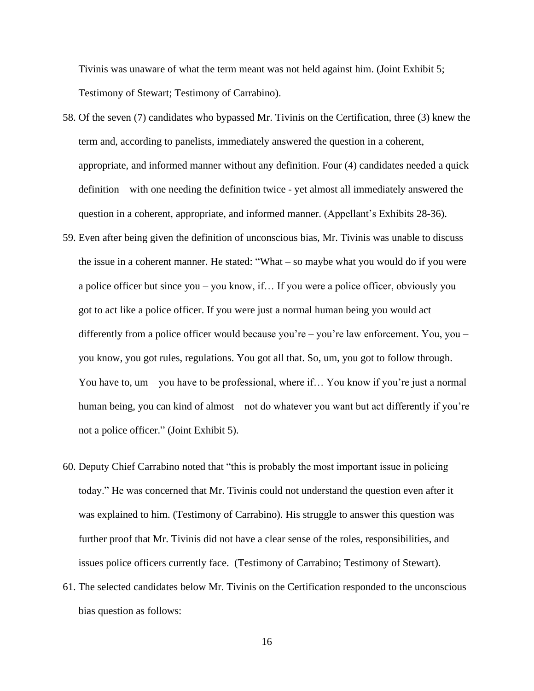Tivinis was unaware of what the term meant was not held against him. (Joint Exhibit 5; Testimony of Stewart; Testimony of Carrabino).

- 58. Of the seven (7) candidates who bypassed Mr. Tivinis on the Certification, three (3) knew the term and, according to panelists, immediately answered the question in a coherent, appropriate, and informed manner without any definition. Four (4) candidates needed a quick definition – with one needing the definition twice - yet almost all immediately answered the question in a coherent, appropriate, and informed manner. (Appellant's Exhibits 28-36).
- 59. Even after being given the definition of unconscious bias, Mr. Tivinis was unable to discuss the issue in a coherent manner. He stated: "What – so maybe what you would do if you were a police officer but since you – you know, if… If you were a police officer, obviously you got to act like a police officer. If you were just a normal human being you would act differently from a police officer would because you're – you're law enforcement. You, you – you know, you got rules, regulations. You got all that. So, um, you got to follow through. You have to, um – you have to be professional, where if… You know if you're just a normal human being, you can kind of almost – not do whatever you want but act differently if you're not a police officer." (Joint Exhibit 5).
- 60. Deputy Chief Carrabino noted that "this is probably the most important issue in policing today." He was concerned that Mr. Tivinis could not understand the question even after it was explained to him. (Testimony of Carrabino). His struggle to answer this question was further proof that Mr. Tivinis did not have a clear sense of the roles, responsibilities, and issues police officers currently face. (Testimony of Carrabino; Testimony of Stewart).
- 61. The selected candidates below Mr. Tivinis on the Certification responded to the unconscious bias question as follows: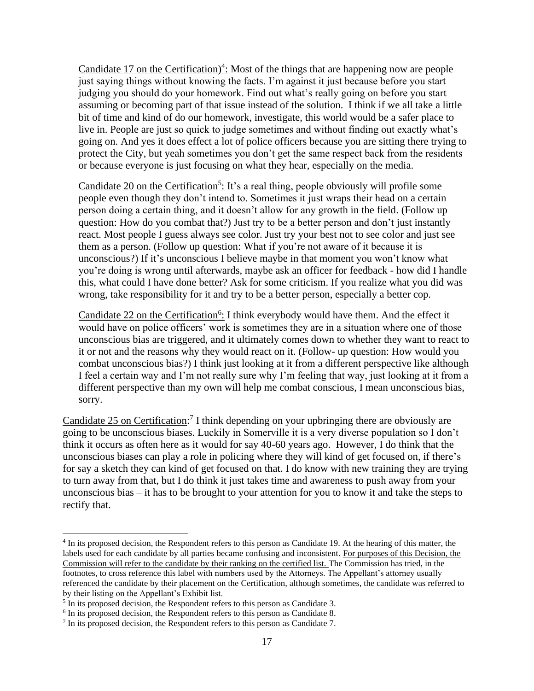Candidate 17 on the Certification)<sup>4</sup>: Most of the things that are happening now are people just saying things without knowing the facts. I'm against it just because before you start judging you should do your homework. Find out what's really going on before you start assuming or becoming part of that issue instead of the solution. I think if we all take a little bit of time and kind of do our homework, investigate, this world would be a safer place to live in. People are just so quick to judge sometimes and without finding out exactly what's going on. And yes it does effect a lot of police officers because you are sitting there trying to protect the City, but yeah sometimes you don't get the same respect back from the residents or because everyone is just focusing on what they hear, especially on the media.

Candidate 20 on the Certification<sup>5</sup>: It's a real thing, people obviously will profile some people even though they don't intend to. Sometimes it just wraps their head on a certain person doing a certain thing, and it doesn't allow for any growth in the field. (Follow up question: How do you combat that?) Just try to be a better person and don't just instantly react. Most people I guess always see color. Just try your best not to see color and just see them as a person. (Follow up question: What if you're not aware of it because it is unconscious?) If it's unconscious I believe maybe in that moment you won't know what you're doing is wrong until afterwards, maybe ask an officer for feedback - how did I handle this, what could I have done better? Ask for some criticism. If you realize what you did was wrong, take responsibility for it and try to be a better person, especially a better cop.

Candidate 22 on the Certification<sup>6</sup>: I think everybody would have them. And the effect it would have on police officers' work is sometimes they are in a situation where one of those unconscious bias are triggered, and it ultimately comes down to whether they want to react to it or not and the reasons why they would react on it. (Follow- up question: How would you combat unconscious bias?) I think just looking at it from a different perspective like although I feel a certain way and I'm not really sure why I'm feeling that way, just looking at it from a different perspective than my own will help me combat conscious, I mean unconscious bias, sorry.

Candidate 25 on Certification:<sup>7</sup> I think depending on your upbringing there are obviously are going to be unconscious biases. Luckily in Somerville it is a very diverse population so I don't think it occurs as often here as it would for say 40-60 years ago. However, I do think that the unconscious biases can play a role in policing where they will kind of get focused on, if there's for say a sketch they can kind of get focused on that. I do know with new training they are trying to turn away from that, but I do think it just takes time and awareness to push away from your unconscious bias – it has to be brought to your attention for you to know it and take the steps to rectify that.

<sup>&</sup>lt;sup>4</sup> In its proposed decision, the Respondent refers to this person as Candidate 19. At the hearing of this matter, the labels used for each candidate by all parties became confusing and inconsistent. For purposes of this Decision, the Commission will refer to the candidate by their ranking on the certified list. The Commission has tried, in the footnotes, to cross reference this label with numbers used by the Attorneys. The Appellant's attorney usually referenced the candidate by their placement on the Certification, although sometimes, the candidate was referred to by their listing on the Appellant's Exhibit list.

<sup>&</sup>lt;sup>5</sup> In its proposed decision, the Respondent refers to this person as Candidate 3.

<sup>&</sup>lt;sup>6</sup> In its proposed decision, the Respondent refers to this person as Candidate 8.

 $<sup>7</sup>$  In its proposed decision, the Respondent refers to this person as Candidate 7.</sup>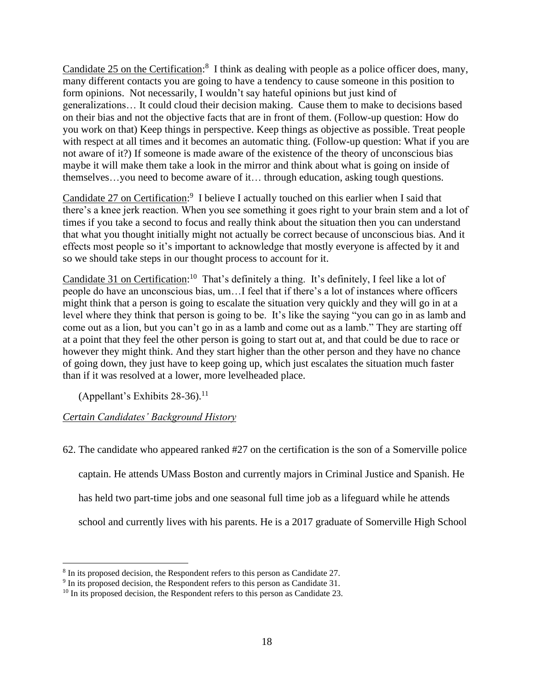Candidate 25 on the Certification:<sup>8</sup> I think as dealing with people as a police officer does, many, many different contacts you are going to have a tendency to cause someone in this position to form opinions. Not necessarily, I wouldn't say hateful opinions but just kind of generalizations… It could cloud their decision making. Cause them to make to decisions based on their bias and not the objective facts that are in front of them. (Follow-up question: How do you work on that) Keep things in perspective. Keep things as objective as possible. Treat people with respect at all times and it becomes an automatic thing. (Follow-up question: What if you are not aware of it?) If someone is made aware of the existence of the theory of unconscious bias maybe it will make them take a look in the mirror and think about what is going on inside of themselves…you need to become aware of it… through education, asking tough questions.

Candidate 27 on Certification:<sup>9</sup> I believe I actually touched on this earlier when I said that there's a knee jerk reaction. When you see something it goes right to your brain stem and a lot of times if you take a second to focus and really think about the situation then you can understand that what you thought initially might not actually be correct because of unconscious bias. And it effects most people so it's important to acknowledge that mostly everyone is affected by it and so we should take steps in our thought process to account for it.

Candidate 31 on Certification:<sup>10</sup> That's definitely a thing. It's definitely, I feel like a lot of people do have an unconscious bias, um…I feel that if there's a lot of instances where officers might think that a person is going to escalate the situation very quickly and they will go in at a level where they think that person is going to be. It's like the saying "you can go in as lamb and come out as a lion, but you can't go in as a lamb and come out as a lamb." They are starting off at a point that they feel the other person is going to start out at, and that could be due to race or however they might think. And they start higher than the other person and they have no chance of going down, they just have to keep going up, which just escalates the situation much faster than if it was resolved at a lower, more levelheaded place.

(Appellant's Exhibits 28-36). 11

# *Certain Candidates' Background History*

62. The candidate who appeared ranked #27 on the certification is the son of a Somerville police

captain. He attends UMass Boston and currently majors in Criminal Justice and Spanish. He

has held two part-time jobs and one seasonal full time job as a lifeguard while he attends

school and currently lives with his parents. He is a 2017 graduate of Somerville High School

<sup>&</sup>lt;sup>8</sup> In its proposed decision, the Respondent refers to this person as Candidate 27.

<sup>&</sup>lt;sup>9</sup> In its proposed decision, the Respondent refers to this person as Candidate 31.

<sup>&</sup>lt;sup>10</sup> In its proposed decision, the Respondent refers to this person as Candidate 23.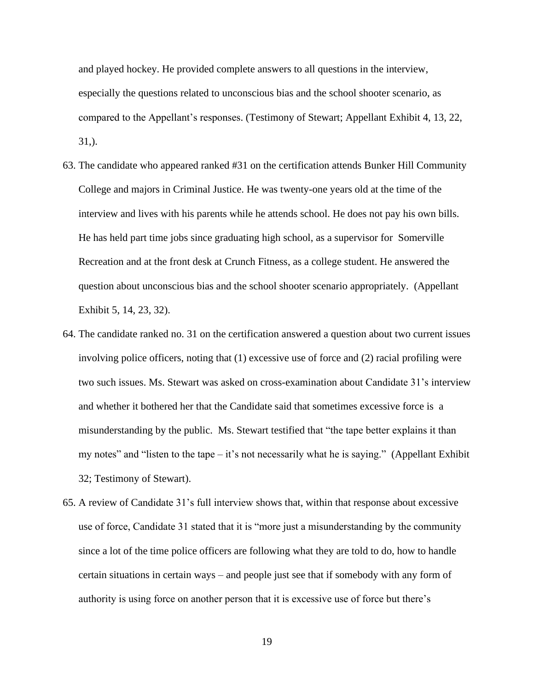and played hockey. He provided complete answers to all questions in the interview, especially the questions related to unconscious bias and the school shooter scenario, as compared to the Appellant's responses. (Testimony of Stewart; Appellant Exhibit 4, 13, 22, 31,).

- 63. The candidate who appeared ranked #31 on the certification attends Bunker Hill Community College and majors in Criminal Justice. He was twenty-one years old at the time of the interview and lives with his parents while he attends school. He does not pay his own bills. He has held part time jobs since graduating high school, as a supervisor for Somerville Recreation and at the front desk at Crunch Fitness, as a college student. He answered the question about unconscious bias and the school shooter scenario appropriately. (Appellant Exhibit 5, 14, 23, 32).
- 64. The candidate ranked no. 31 on the certification answered a question about two current issues involving police officers, noting that (1) excessive use of force and (2) racial profiling were two such issues. Ms. Stewart was asked on cross-examination about Candidate 31's interview and whether it bothered her that the Candidate said that sometimes excessive force is a misunderstanding by the public. Ms. Stewart testified that "the tape better explains it than my notes" and "listen to the tape – it's not necessarily what he is saying." (Appellant Exhibit 32; Testimony of Stewart).
- 65. A review of Candidate 31's full interview shows that, within that response about excessive use of force, Candidate 31 stated that it is "more just a misunderstanding by the community since a lot of the time police officers are following what they are told to do, how to handle certain situations in certain ways – and people just see that if somebody with any form of authority is using force on another person that it is excessive use of force but there's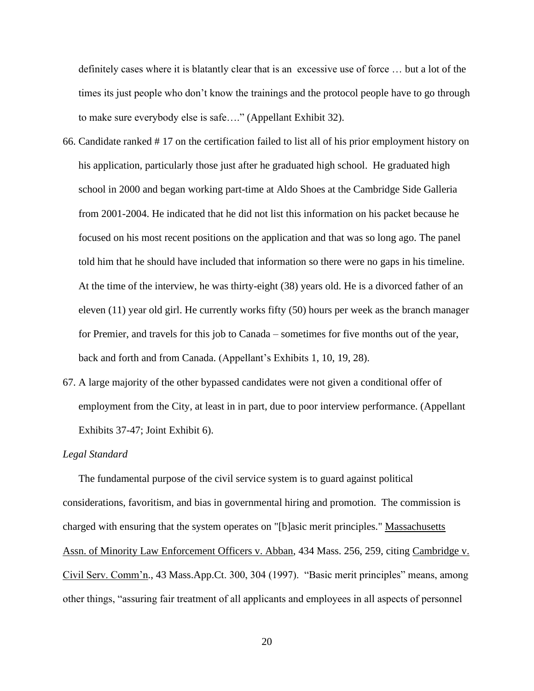definitely cases where it is blatantly clear that is an excessive use of force … but a lot of the times its just people who don't know the trainings and the protocol people have to go through to make sure everybody else is safe…." (Appellant Exhibit 32).

- 66. Candidate ranked # 17 on the certification failed to list all of his prior employment history on his application, particularly those just after he graduated high school. He graduated high school in 2000 and began working part-time at Aldo Shoes at the Cambridge Side Galleria from 2001-2004. He indicated that he did not list this information on his packet because he focused on his most recent positions on the application and that was so long ago. The panel told him that he should have included that information so there were no gaps in his timeline. At the time of the interview, he was thirty-eight (38) years old. He is a divorced father of an eleven (11) year old girl. He currently works fifty (50) hours per week as the branch manager for Premier, and travels for this job to Canada – sometimes for five months out of the year, back and forth and from Canada. (Appellant's Exhibits 1, 10, 19, 28).
- 67. A large majority of the other bypassed candidates were not given a conditional offer of employment from the City, at least in in part, due to poor interview performance. (Appellant Exhibits 37-47; Joint Exhibit 6).

#### *Legal Standard*

 The fundamental purpose of the civil service system is to guard against political considerations, favoritism, and bias in governmental hiring and promotion. The commission is charged with ensuring that the system operates on "[b]asic merit principles." Massachusetts Assn. of Minority Law Enforcement Officers v. Abban, 434 Mass. 256, 259, citing Cambridge v. Civil Serv. Comm'n., 43 Mass.App.Ct. 300, 304 (1997). "Basic merit principles" means, among other things, "assuring fair treatment of all applicants and employees in all aspects of personnel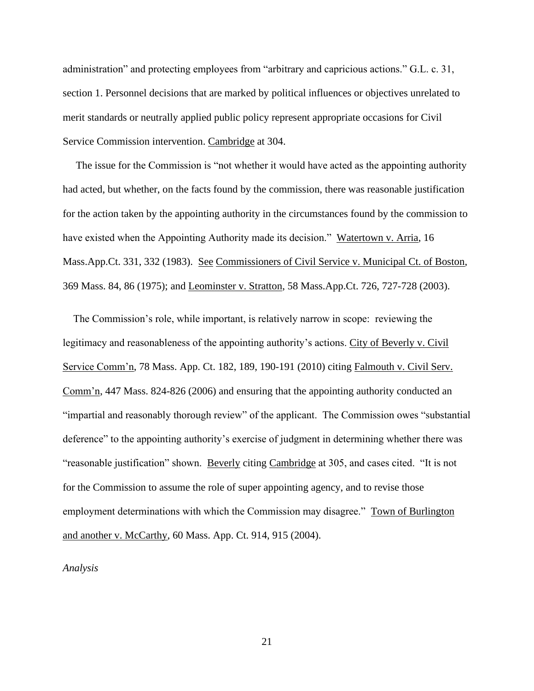administration" and protecting employees from "arbitrary and capricious actions." G.L. c. 31, section 1. Personnel decisions that are marked by political influences or objectives unrelated to merit standards or neutrally applied public policy represent appropriate occasions for Civil Service Commission intervention. Cambridge at 304.

 The issue for the Commission is "not whether it would have acted as the appointing authority had acted, but whether, on the facts found by the commission, there was reasonable justification for the action taken by the appointing authority in the circumstances found by the commission to have existed when the Appointing Authority made its decision." Watertown v. Arria, 16 Mass.App.Ct. 331, 332 (1983). See Commissioners of Civil Service v. Municipal Ct. of Boston, 369 Mass. 84, 86 (1975); and Leominster v. Stratton, 58 Mass.App.Ct. 726, 727-728 (2003).

 The Commission's role, while important, is relatively narrow in scope: reviewing the legitimacy and reasonableness of the appointing authority's actions. City of Beverly v. Civil Service Comm'n, 78 Mass. App. Ct. 182, 189, 190-191 (2010) citing Falmouth v. Civil Serv. Comm'n, 447 Mass. 824-826 (2006) and ensuring that the appointing authority conducted an "impartial and reasonably thorough review" of the applicant. The Commission owes "substantial deference" to the appointing authority's exercise of judgment in determining whether there was "reasonable justification" shown. Beverly citing Cambridge at 305, and cases cited. "It is not for the Commission to assume the role of super appointing agency, and to revise those employment determinations with which the Commission may disagree." Town of Burlington and another v. McCarthy, 60 Mass. App. Ct. 914, 915 (2004).

*Analysis*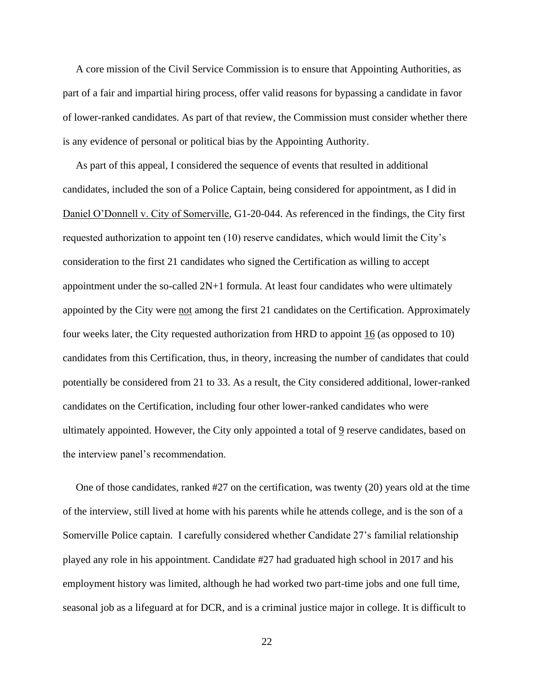A core mission of the Civil Service Commission is to ensure that Appointing Authorities, as part of a fair and impartial hiring process, offer valid reasons for bypassing a candidate in favor of lower-ranked candidates. As part of that review, the Commission must consider whether there is any evidence of personal or political bias by the Appointing Authority.

 As part of this appeal, I considered the sequence of events that resulted in additional candidates, included the son of a Police Captain, being considered for appointment, as I did in Daniel O'Donnell v. City of Somerville, G1-20-044. As referenced in the findings, the City first requested authorization to appoint ten (10) reserve candidates, which would limit the City's consideration to the first 21 candidates who signed the Certification as willing to accept appointment under the so-called 2N+1 formula. At least four candidates who were ultimately appointed by the City were not among the first 21 candidates on the Certification. Approximately four weeks later, the City requested authorization from HRD to appoint 16 (as opposed to 10) candidates from this Certification, thus, in theory, increasing the number of candidates that could potentially be considered from 21 to 33. As a result, the City considered additional, lower-ranked candidates on the Certification, including four other lower-ranked candidates who were ultimately appointed. However, the City only appointed a total of  $9$  reserve candidates, based on the interview panel's recommendation.

 One of those candidates, ranked #27 on the certification, was twenty (20) years old at the time of the interview, still lived at home with his parents while he attends college, and is the son of a Somerville Police captain. I carefully considered whether Candidate 27's familial relationship played any role in his appointment. Candidate #27 had graduated high school in 2017 and his employment history was limited, although he had worked two part-time jobs and one full time, seasonal job as a lifeguard at for DCR, and is a criminal justice major in college. It is difficult to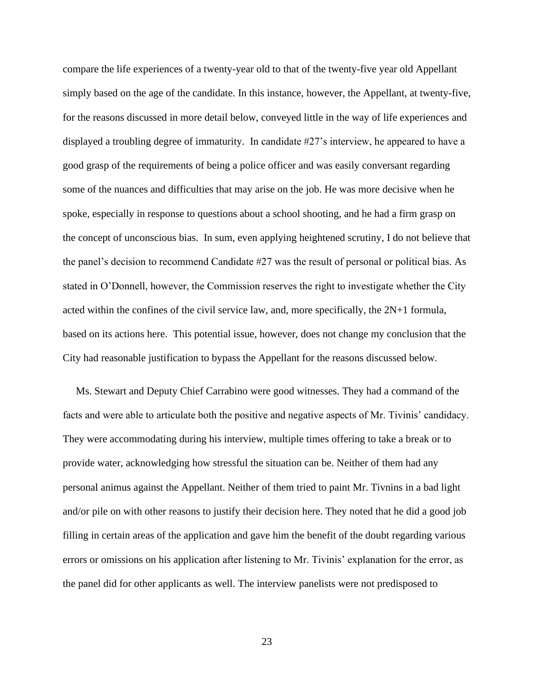compare the life experiences of a twenty-year old to that of the twenty-five year old Appellant simply based on the age of the candidate. In this instance, however, the Appellant, at twenty-five, for the reasons discussed in more detail below, conveyed little in the way of life experiences and displayed a troubling degree of immaturity. In candidate #27's interview, he appeared to have a good grasp of the requirements of being a police officer and was easily conversant regarding some of the nuances and difficulties that may arise on the job. He was more decisive when he spoke, especially in response to questions about a school shooting, and he had a firm grasp on the concept of unconscious bias. In sum, even applying heightened scrutiny, I do not believe that the panel's decision to recommend Candidate #27 was the result of personal or political bias. As stated in O'Donnell, however, the Commission reserves the right to investigate whether the City acted within the confines of the civil service law, and, more specifically, the 2N+1 formula, based on its actions here. This potential issue, however, does not change my conclusion that the City had reasonable justification to bypass the Appellant for the reasons discussed below.

 Ms. Stewart and Deputy Chief Carrabino were good witnesses. They had a command of the facts and were able to articulate both the positive and negative aspects of Mr. Tivinis' candidacy. They were accommodating during his interview, multiple times offering to take a break or to provide water, acknowledging how stressful the situation can be. Neither of them had any personal animus against the Appellant. Neither of them tried to paint Mr. Tivnins in a bad light and/or pile on with other reasons to justify their decision here. They noted that he did a good job filling in certain areas of the application and gave him the benefit of the doubt regarding various errors or omissions on his application after listening to Mr. Tivinis' explanation for the error, as the panel did for other applicants as well. The interview panelists were not predisposed to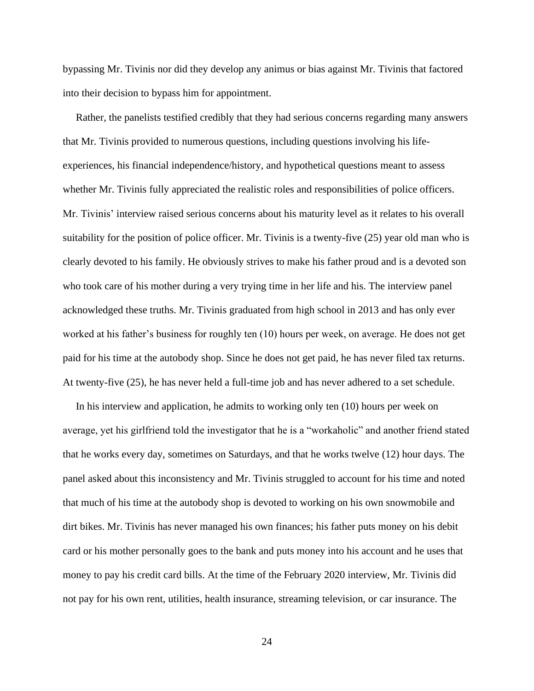bypassing Mr. Tivinis nor did they develop any animus or bias against Mr. Tivinis that factored into their decision to bypass him for appointment.

 Rather, the panelists testified credibly that they had serious concerns regarding many answers that Mr. Tivinis provided to numerous questions, including questions involving his lifeexperiences, his financial independence/history, and hypothetical questions meant to assess whether Mr. Tivinis fully appreciated the realistic roles and responsibilities of police officers. Mr. Tivinis' interview raised serious concerns about his maturity level as it relates to his overall suitability for the position of police officer. Mr. Tivinis is a twenty-five (25) year old man who is clearly devoted to his family. He obviously strives to make his father proud and is a devoted son who took care of his mother during a very trying time in her life and his. The interview panel acknowledged these truths. Mr. Tivinis graduated from high school in 2013 and has only ever worked at his father's business for roughly ten (10) hours per week, on average. He does not get paid for his time at the autobody shop. Since he does not get paid, he has never filed tax returns. At twenty-five (25), he has never held a full-time job and has never adhered to a set schedule.

 In his interview and application, he admits to working only ten (10) hours per week on average, yet his girlfriend told the investigator that he is a "workaholic" and another friend stated that he works every day, sometimes on Saturdays, and that he works twelve (12) hour days. The panel asked about this inconsistency and Mr. Tivinis struggled to account for his time and noted that much of his time at the autobody shop is devoted to working on his own snowmobile and dirt bikes. Mr. Tivinis has never managed his own finances; his father puts money on his debit card or his mother personally goes to the bank and puts money into his account and he uses that money to pay his credit card bills. At the time of the February 2020 interview, Mr. Tivinis did not pay for his own rent, utilities, health insurance, streaming television, or car insurance. The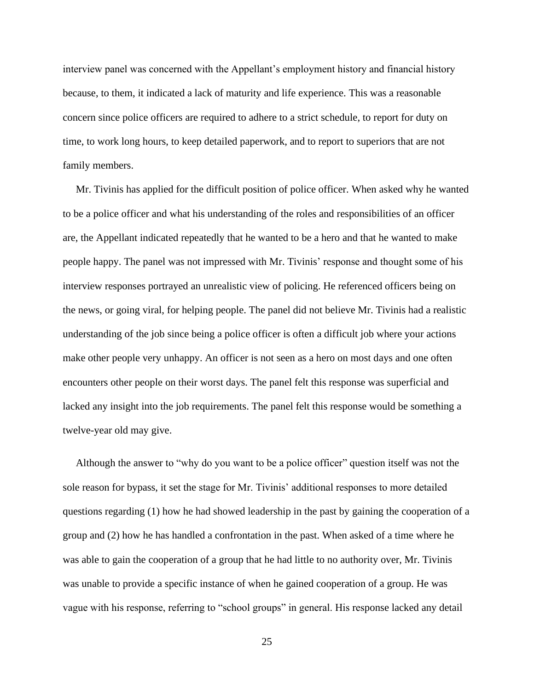interview panel was concerned with the Appellant's employment history and financial history because, to them, it indicated a lack of maturity and life experience. This was a reasonable concern since police officers are required to adhere to a strict schedule, to report for duty on time, to work long hours, to keep detailed paperwork, and to report to superiors that are not family members.

 Mr. Tivinis has applied for the difficult position of police officer. When asked why he wanted to be a police officer and what his understanding of the roles and responsibilities of an officer are, the Appellant indicated repeatedly that he wanted to be a hero and that he wanted to make people happy. The panel was not impressed with Mr. Tivinis' response and thought some of his interview responses portrayed an unrealistic view of policing. He referenced officers being on the news, or going viral, for helping people. The panel did not believe Mr. Tivinis had a realistic understanding of the job since being a police officer is often a difficult job where your actions make other people very unhappy. An officer is not seen as a hero on most days and one often encounters other people on their worst days. The panel felt this response was superficial and lacked any insight into the job requirements. The panel felt this response would be something a twelve-year old may give.

 Although the answer to "why do you want to be a police officer" question itself was not the sole reason for bypass, it set the stage for Mr. Tivinis' additional responses to more detailed questions regarding (1) how he had showed leadership in the past by gaining the cooperation of a group and (2) how he has handled a confrontation in the past. When asked of a time where he was able to gain the cooperation of a group that he had little to no authority over, Mr. Tivinis was unable to provide a specific instance of when he gained cooperation of a group. He was vague with his response, referring to "school groups" in general. His response lacked any detail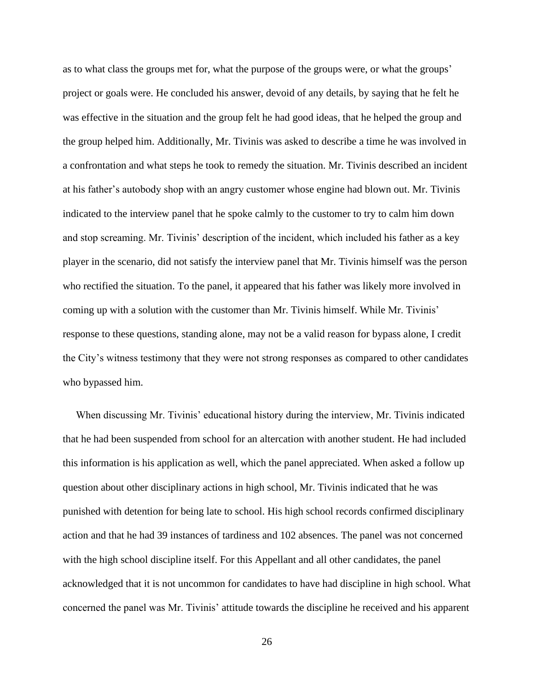as to what class the groups met for, what the purpose of the groups were, or what the groups' project or goals were. He concluded his answer, devoid of any details, by saying that he felt he was effective in the situation and the group felt he had good ideas, that he helped the group and the group helped him. Additionally, Mr. Tivinis was asked to describe a time he was involved in a confrontation and what steps he took to remedy the situation. Mr. Tivinis described an incident at his father's autobody shop with an angry customer whose engine had blown out. Mr. Tivinis indicated to the interview panel that he spoke calmly to the customer to try to calm him down and stop screaming. Mr. Tivinis' description of the incident, which included his father as a key player in the scenario, did not satisfy the interview panel that Mr. Tivinis himself was the person who rectified the situation. To the panel, it appeared that his father was likely more involved in coming up with a solution with the customer than Mr. Tivinis himself. While Mr. Tivinis' response to these questions, standing alone, may not be a valid reason for bypass alone, I credit the City's witness testimony that they were not strong responses as compared to other candidates who bypassed him.

 When discussing Mr. Tivinis' educational history during the interview, Mr. Tivinis indicated that he had been suspended from school for an altercation with another student. He had included this information is his application as well, which the panel appreciated. When asked a follow up question about other disciplinary actions in high school, Mr. Tivinis indicated that he was punished with detention for being late to school. His high school records confirmed disciplinary action and that he had 39 instances of tardiness and 102 absences. The panel was not concerned with the high school discipline itself. For this Appellant and all other candidates, the panel acknowledged that it is not uncommon for candidates to have had discipline in high school. What concerned the panel was Mr. Tivinis' attitude towards the discipline he received and his apparent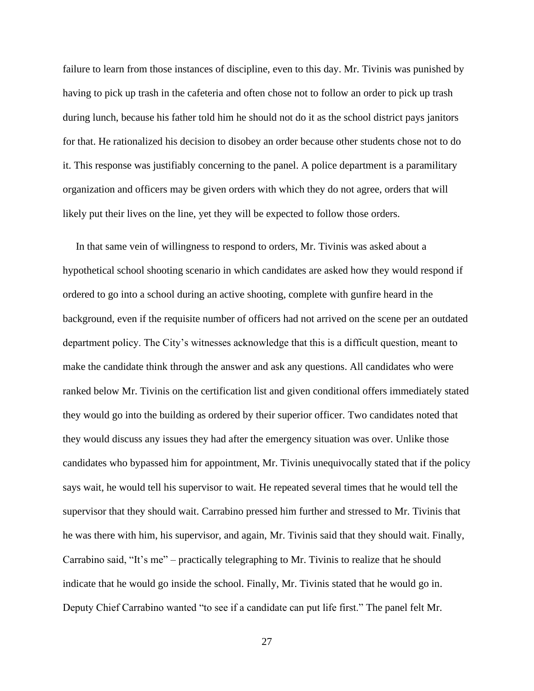failure to learn from those instances of discipline, even to this day. Mr. Tivinis was punished by having to pick up trash in the cafeteria and often chose not to follow an order to pick up trash during lunch, because his father told him he should not do it as the school district pays janitors for that. He rationalized his decision to disobey an order because other students chose not to do it. This response was justifiably concerning to the panel. A police department is a paramilitary organization and officers may be given orders with which they do not agree, orders that will likely put their lives on the line, yet they will be expected to follow those orders.

 In that same vein of willingness to respond to orders, Mr. Tivinis was asked about a hypothetical school shooting scenario in which candidates are asked how they would respond if ordered to go into a school during an active shooting, complete with gunfire heard in the background, even if the requisite number of officers had not arrived on the scene per an outdated department policy. The City's witnesses acknowledge that this is a difficult question, meant to make the candidate think through the answer and ask any questions. All candidates who were ranked below Mr. Tivinis on the certification list and given conditional offers immediately stated they would go into the building as ordered by their superior officer. Two candidates noted that they would discuss any issues they had after the emergency situation was over. Unlike those candidates who bypassed him for appointment, Mr. Tivinis unequivocally stated that if the policy says wait, he would tell his supervisor to wait. He repeated several times that he would tell the supervisor that they should wait. Carrabino pressed him further and stressed to Mr. Tivinis that he was there with him, his supervisor, and again, Mr. Tivinis said that they should wait. Finally, Carrabino said, "It's me" – practically telegraphing to Mr. Tivinis to realize that he should indicate that he would go inside the school. Finally, Mr. Tivinis stated that he would go in. Deputy Chief Carrabino wanted "to see if a candidate can put life first." The panel felt Mr.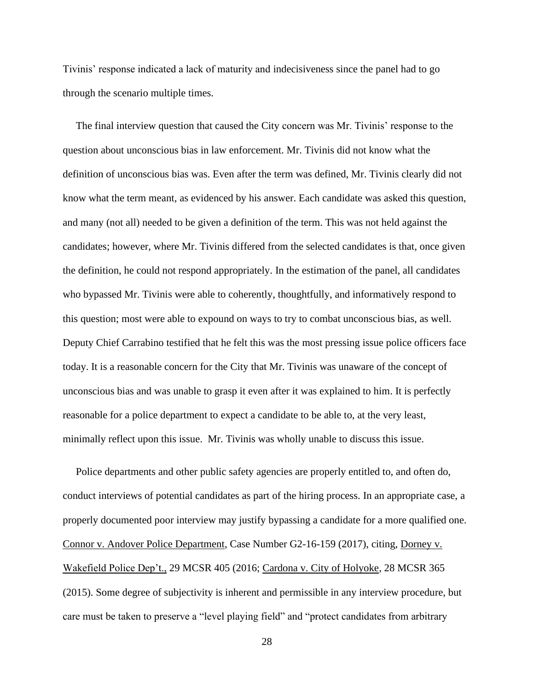Tivinis' response indicated a lack of maturity and indecisiveness since the panel had to go through the scenario multiple times.

 The final interview question that caused the City concern was Mr. Tivinis' response to the question about unconscious bias in law enforcement. Mr. Tivinis did not know what the definition of unconscious bias was. Even after the term was defined, Mr. Tivinis clearly did not know what the term meant, as evidenced by his answer. Each candidate was asked this question, and many (not all) needed to be given a definition of the term. This was not held against the candidates; however, where Mr. Tivinis differed from the selected candidates is that, once given the definition, he could not respond appropriately. In the estimation of the panel, all candidates who bypassed Mr. Tivinis were able to coherently, thoughtfully, and informatively respond to this question; most were able to expound on ways to try to combat unconscious bias, as well. Deputy Chief Carrabino testified that he felt this was the most pressing issue police officers face today. It is a reasonable concern for the City that Mr. Tivinis was unaware of the concept of unconscious bias and was unable to grasp it even after it was explained to him. It is perfectly reasonable for a police department to expect a candidate to be able to, at the very least, minimally reflect upon this issue. Mr. Tivinis was wholly unable to discuss this issue.

 Police departments and other public safety agencies are properly entitled to, and often do, conduct interviews of potential candidates as part of the hiring process. In an appropriate case, a properly documented poor interview may justify bypassing a candidate for a more qualified one. Connor v. Andover Police Department, Case Number G2-16-159 (2017), citing, Dorney v. Wakefield Police Dep't., 29 MCSR 405 (2016; Cardona v. City of Holyoke, 28 MCSR 365 (2015). Some degree of subjectivity is inherent and permissible in any interview procedure, but care must be taken to preserve a "level playing field" and "protect candidates from arbitrary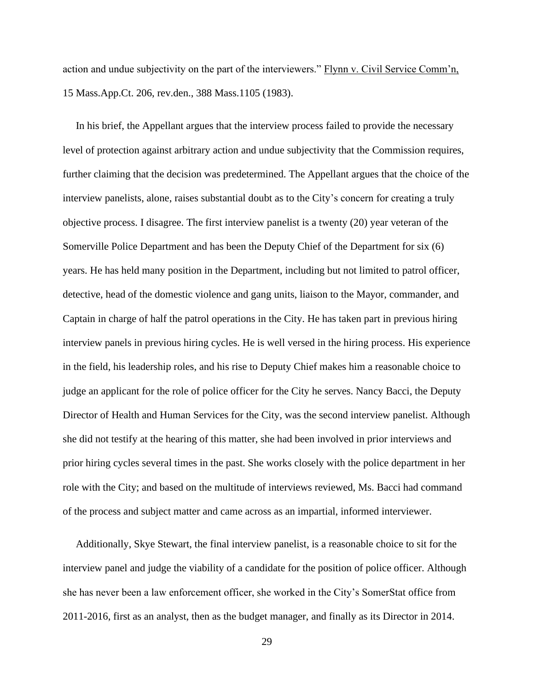action and undue subjectivity on the part of the interviewers." Flynn v. Civil Service Comm'n, 15 Mass.App.Ct. 206, rev.den., 388 Mass.1105 (1983).

 In his brief, the Appellant argues that the interview process failed to provide the necessary level of protection against arbitrary action and undue subjectivity that the Commission requires, further claiming that the decision was predetermined. The Appellant argues that the choice of the interview panelists, alone, raises substantial doubt as to the City's concern for creating a truly objective process. I disagree. The first interview panelist is a twenty (20) year veteran of the Somerville Police Department and has been the Deputy Chief of the Department for six (6) years. He has held many position in the Department, including but not limited to patrol officer, detective, head of the domestic violence and gang units, liaison to the Mayor, commander, and Captain in charge of half the patrol operations in the City. He has taken part in previous hiring interview panels in previous hiring cycles. He is well versed in the hiring process. His experience in the field, his leadership roles, and his rise to Deputy Chief makes him a reasonable choice to judge an applicant for the role of police officer for the City he serves. Nancy Bacci, the Deputy Director of Health and Human Services for the City, was the second interview panelist. Although she did not testify at the hearing of this matter, she had been involved in prior interviews and prior hiring cycles several times in the past. She works closely with the police department in her role with the City; and based on the multitude of interviews reviewed, Ms. Bacci had command of the process and subject matter and came across as an impartial, informed interviewer.

 Additionally, Skye Stewart, the final interview panelist, is a reasonable choice to sit for the interview panel and judge the viability of a candidate for the position of police officer. Although she has never been a law enforcement officer, she worked in the City's SomerStat office from 2011-2016, first as an analyst, then as the budget manager, and finally as its Director in 2014.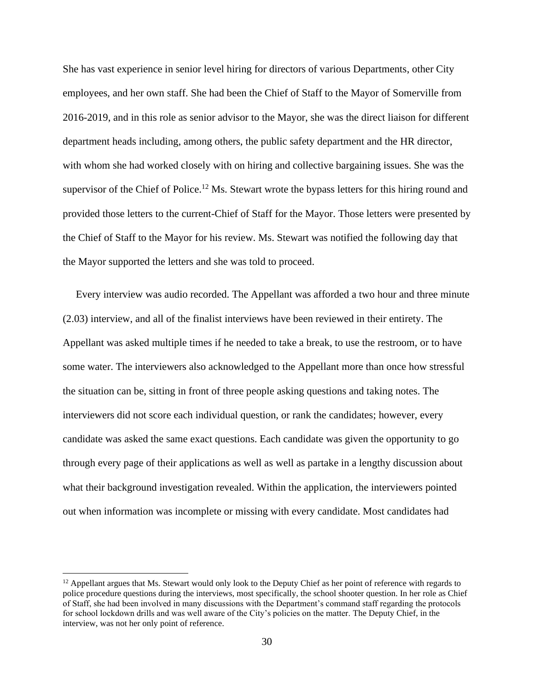She has vast experience in senior level hiring for directors of various Departments, other City employees, and her own staff. She had been the Chief of Staff to the Mayor of Somerville from 2016-2019, and in this role as senior advisor to the Mayor, she was the direct liaison for different department heads including, among others, the public safety department and the HR director, with whom she had worked closely with on hiring and collective bargaining issues. She was the supervisor of the Chief of Police.<sup>12</sup> Ms. Stewart wrote the bypass letters for this hiring round and provided those letters to the current-Chief of Staff for the Mayor. Those letters were presented by the Chief of Staff to the Mayor for his review. Ms. Stewart was notified the following day that the Mayor supported the letters and she was told to proceed.

 Every interview was audio recorded. The Appellant was afforded a two hour and three minute (2.03) interview, and all of the finalist interviews have been reviewed in their entirety. The Appellant was asked multiple times if he needed to take a break, to use the restroom, or to have some water. The interviewers also acknowledged to the Appellant more than once how stressful the situation can be, sitting in front of three people asking questions and taking notes. The interviewers did not score each individual question, or rank the candidates; however, every candidate was asked the same exact questions. Each candidate was given the opportunity to go through every page of their applications as well as well as partake in a lengthy discussion about what their background investigation revealed. Within the application, the interviewers pointed out when information was incomplete or missing with every candidate. Most candidates had

 $12$  Appellant argues that Ms. Stewart would only look to the Deputy Chief as her point of reference with regards to police procedure questions during the interviews, most specifically, the school shooter question. In her role as Chief of Staff, she had been involved in many discussions with the Department's command staff regarding the protocols for school lockdown drills and was well aware of the City's policies on the matter. The Deputy Chief, in the interview, was not her only point of reference.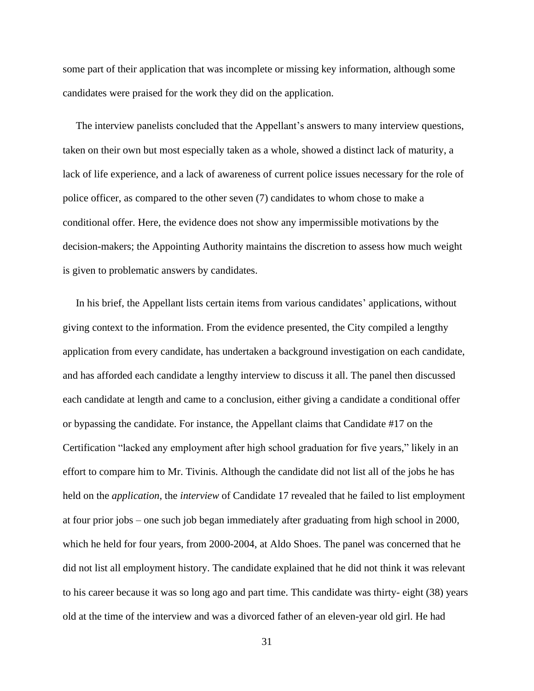some part of their application that was incomplete or missing key information, although some candidates were praised for the work they did on the application.

 The interview panelists concluded that the Appellant's answers to many interview questions, taken on their own but most especially taken as a whole, showed a distinct lack of maturity, a lack of life experience, and a lack of awareness of current police issues necessary for the role of police officer, as compared to the other seven (7) candidates to whom chose to make a conditional offer. Here, the evidence does not show any impermissible motivations by the decision-makers; the Appointing Authority maintains the discretion to assess how much weight is given to problematic answers by candidates.

 In his brief, the Appellant lists certain items from various candidates' applications, without giving context to the information. From the evidence presented, the City compiled a lengthy application from every candidate, has undertaken a background investigation on each candidate, and has afforded each candidate a lengthy interview to discuss it all. The panel then discussed each candidate at length and came to a conclusion, either giving a candidate a conditional offer or bypassing the candidate. For instance, the Appellant claims that Candidate #17 on the Certification "lacked any employment after high school graduation for five years," likely in an effort to compare him to Mr. Tivinis. Although the candidate did not list all of the jobs he has held on the *application*, the *interview* of Candidate 17 revealed that he failed to list employment at four prior jobs – one such job began immediately after graduating from high school in 2000, which he held for four years, from 2000-2004, at Aldo Shoes. The panel was concerned that he did not list all employment history. The candidate explained that he did not think it was relevant to his career because it was so long ago and part time. This candidate was thirty- eight (38) years old at the time of the interview and was a divorced father of an eleven-year old girl. He had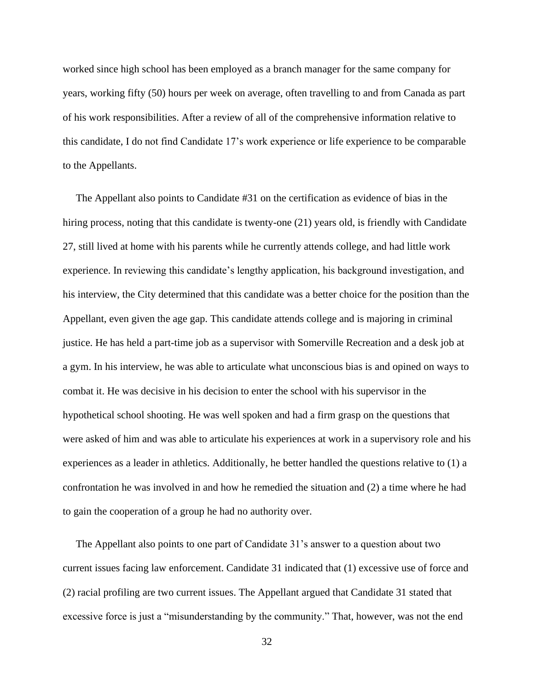worked since high school has been employed as a branch manager for the same company for years, working fifty (50) hours per week on average, often travelling to and from Canada as part of his work responsibilities. After a review of all of the comprehensive information relative to this candidate, I do not find Candidate 17's work experience or life experience to be comparable to the Appellants.

 The Appellant also points to Candidate #31 on the certification as evidence of bias in the hiring process, noting that this candidate is twenty-one (21) years old, is friendly with Candidate 27, still lived at home with his parents while he currently attends college, and had little work experience. In reviewing this candidate's lengthy application, his background investigation, and his interview, the City determined that this candidate was a better choice for the position than the Appellant, even given the age gap. This candidate attends college and is majoring in criminal justice. He has held a part-time job as a supervisor with Somerville Recreation and a desk job at a gym. In his interview, he was able to articulate what unconscious bias is and opined on ways to combat it. He was decisive in his decision to enter the school with his supervisor in the hypothetical school shooting. He was well spoken and had a firm grasp on the questions that were asked of him and was able to articulate his experiences at work in a supervisory role and his experiences as a leader in athletics. Additionally, he better handled the questions relative to (1) a confrontation he was involved in and how he remedied the situation and (2) a time where he had to gain the cooperation of a group he had no authority over.

 The Appellant also points to one part of Candidate 31's answer to a question about two current issues facing law enforcement. Candidate 31 indicated that (1) excessive use of force and (2) racial profiling are two current issues. The Appellant argued that Candidate 31 stated that excessive force is just a "misunderstanding by the community." That, however, was not the end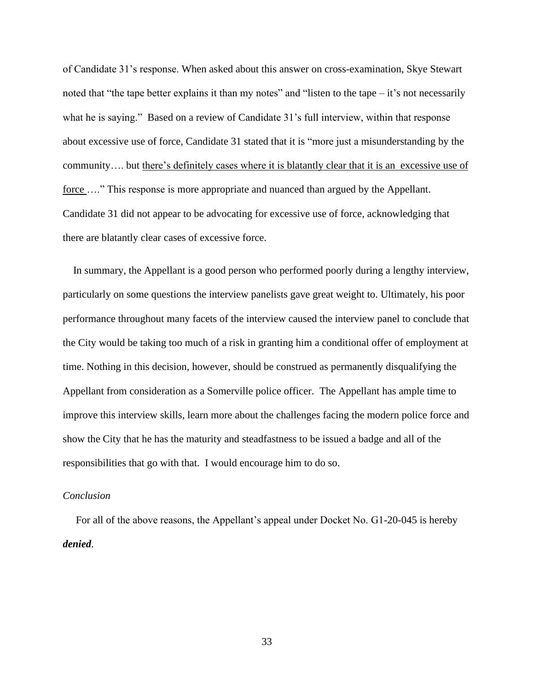of Candidate 31's response. When asked about this answer on cross-examination, Skye Stewart noted that "the tape better explains it than my notes" and "listen to the tape – it's not necessarily what he is saying." Based on a review of Candidate 31's full interview, within that response about excessive use of force, Candidate 31 stated that it is "more just a misunderstanding by the community…. but there's definitely cases where it is blatantly clear that it is an excessive use of force ...." This response is more appropriate and nuanced than argued by the Appellant. Candidate 31 did not appear to be advocating for excessive use of force, acknowledging that there are blatantly clear cases of excessive force.

 In summary, the Appellant is a good person who performed poorly during a lengthy interview, particularly on some questions the interview panelists gave great weight to. Ultimately, his poor performance throughout many facets of the interview caused the interview panel to conclude that the City would be taking too much of a risk in granting him a conditional offer of employment at time. Nothing in this decision, however, should be construed as permanently disqualifying the Appellant from consideration as a Somerville police officer. The Appellant has ample time to improve this interview skills, learn more about the challenges facing the modern police force and show the City that he has the maturity and steadfastness to be issued a badge and all of the responsibilities that go with that. I would encourage him to do so.

### *Conclusion*

 For all of the above reasons, the Appellant's appeal under Docket No. G1-20-045 is hereby *denied*.